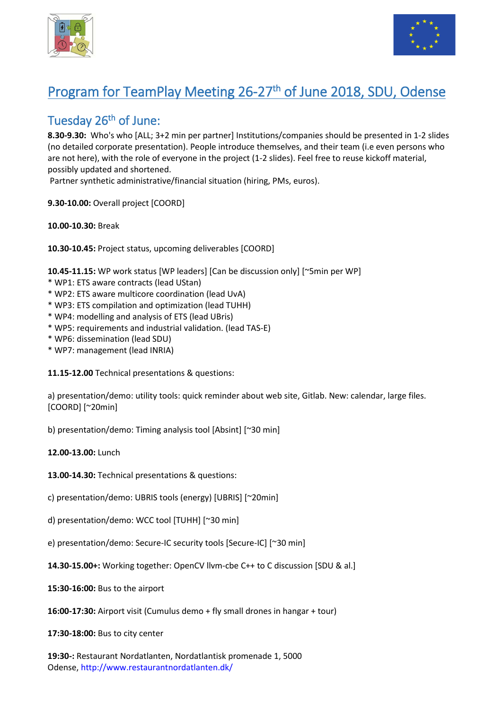



## Program for TeamPlay Meeting 26-27<sup>th</sup> of June 2018, SDU, Odense

## Tuesday 26th of June:

**8.30-9.30:** Who's who [ALL; 3+2 min per partner] Institutions/companies should be presented in 1-2 slides (no detailed corporate presentation). People introduce themselves, and their team (i.e even persons who are not here), with the role of everyone in the project (1-2 slides). Feel free to reuse kickoff material, possibly updated and shortened.

Partner synthetic administrative/financial situation (hiring, PMs, euros).

**9.30-10.00:** Overall project [COORD]

**10.00-10.30:** Break

**10.30-10.45:** Project status, upcoming deliverables [COORD]

**10.45-11.15:** WP work status [WP leaders] [Can be discussion only] [~5min per WP]

- \* WP1: ETS aware contracts (lead UStan)
- \* WP2: ETS aware multicore coordination (lead UvA)
- \* WP3: ETS compilation and optimization (lead TUHH)
- \* WP4: modelling and analysis of ETS (lead UBris)
- \* WP5: requirements and industrial validation. (lead TAS-E)
- \* WP6: dissemination (lead SDU)
- \* WP7: management (lead INRIA)

**11.15-12.00** Technical presentations & questions:

a) presentation/demo: utility tools: quick reminder about web site, Gitlab. New: calendar, large files. [COORD] [~20min]

b) presentation/demo: Timing analysis tool [Absint] [~30 min]

**12.00-13.00:** Lunch

**13.00-14.30:** Technical presentations & questions:

c) presentation/demo: UBRIS tools (energy) [UBRIS] [~20min]

d) presentation/demo: WCC tool [TUHH] [~30 min]

e) presentation/demo: Secure-IC security tools [Secure-IC] [~30 min]

**14.30-15.00+:** Working together: OpenCV llvm-cbe C++ to C discussion [SDU & al.]

**15:30-16:00:** Bus to the airport

**16:00-17:30:** Airport visit (Cumulus demo + fly small drones in hangar + tour)

**17:30-18:00:** Bus to city center

**19:30-:** Restaurant Nordatlanten, Nordatlantisk promenade 1, 5000 Odense, <http://www.restaurantnordatlanten.dk/>